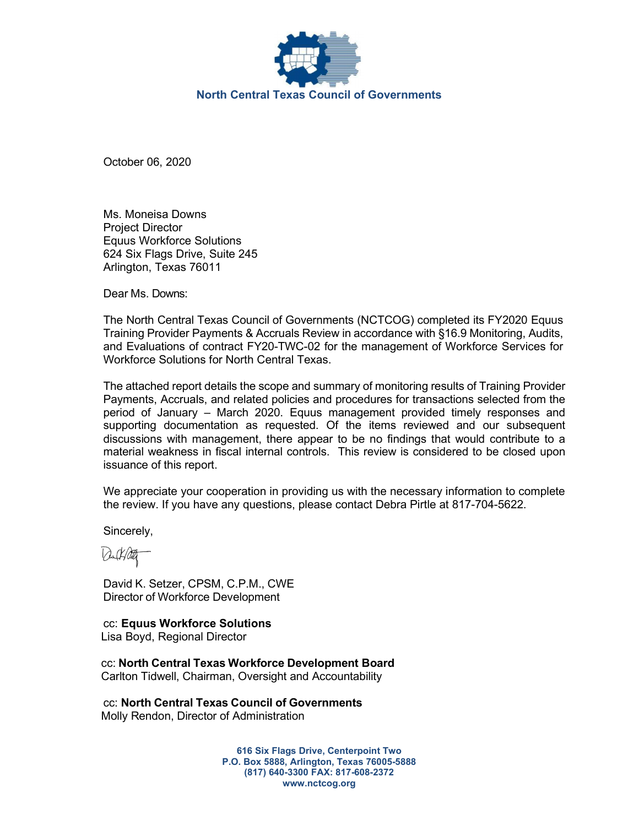

October 06, 2020

Ms. Moneisa Downs Project Director Equus Workforce Solutions 624 Six Flags Drive, Suite 245 Arlington, Texas 76011

Dear Ms. Downs:

The North Central Texas Council of Governments (NCTCOG) completed its FY2020 Equus Training Provider Payments & Accruals Review in accordance with §16.9 Monitoring, Audits, and Evaluations of contract FY20-TWC-02 for the management of Workforce Services for Workforce Solutions for North Central Texas.

The attached report details the scope and summary of monitoring results of Training Provider Payments, Accruals, and related policies and procedures for transactions selected from the period of January – March 2020. Equus management provided timely responses and supporting documentation as requested. Of the items reviewed and our subsequent discussions with management, there appear to be no findings that would contribute to a material weakness in fiscal internal controls. This review is considered to be closed upon issuance of this report.

We appreciate your cooperation in providing us with the necessary information to complete the review. If you have any questions, please contact Debra Pirtle at 817-704-5622.

Sincerely,

David K. Setzer, CPSM, C.P.M., CWE Director of Workforce Development

cc: Equus Workforce Solutions Lisa Boyd, Regional Director

cc: North Central Texas Workforce Development Board Carlton Tidwell, Chairman, Oversight and Accountability

cc: North Central Texas Council of Governments Molly Rendon, Director of Administration

> 616 Six Flags Drive, Centerpoint Two P.O. Box 5888, Arlington, Texas 76005-5888 (817) 640-3300 FAX: 817-608-2372 www.nctcog.org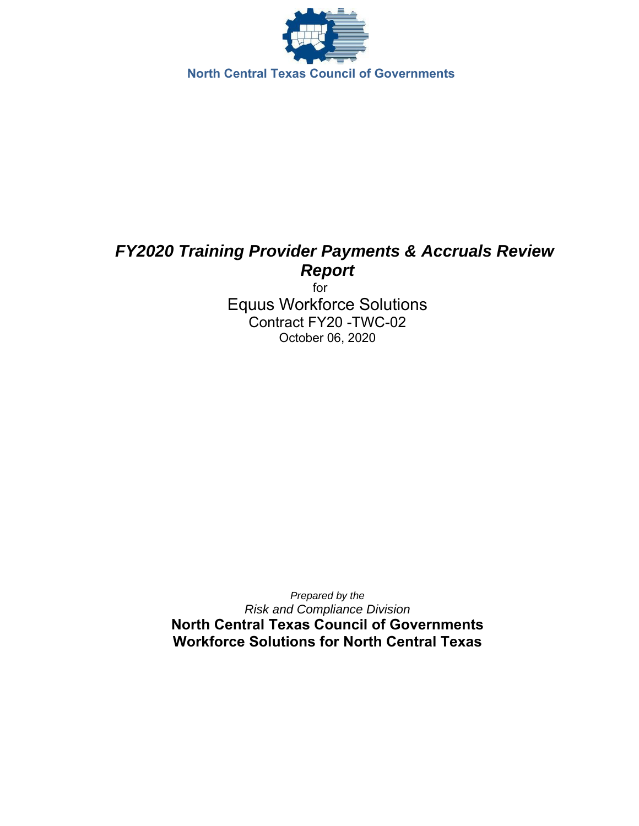

# *FY2020 Training Provider Payments & Accruals Review Report*

 for Equus Workforce Solutions Contract FY20 -TWC-02 October 06, 2020

*Prepared by the Risk and Compliance Division*  **North Central Texas Council of Governments Workforce Solutions for North Central Texas**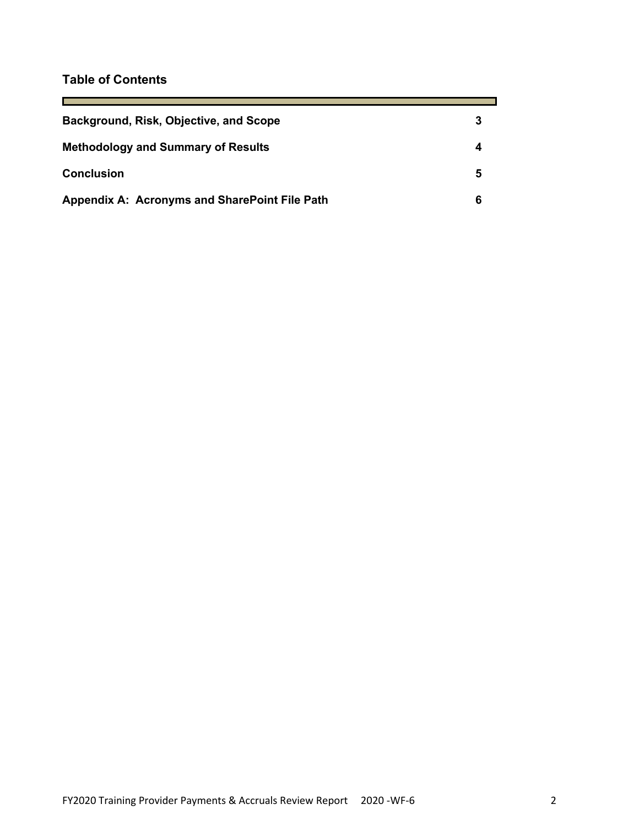# **Table of Contents**

 $\sim$ 

| Background, Risk, Objective, and Scope        |   |
|-----------------------------------------------|---|
| <b>Methodology and Summary of Results</b>     |   |
| <b>Conclusion</b>                             | 5 |
| Appendix A: Acronyms and SharePoint File Path |   |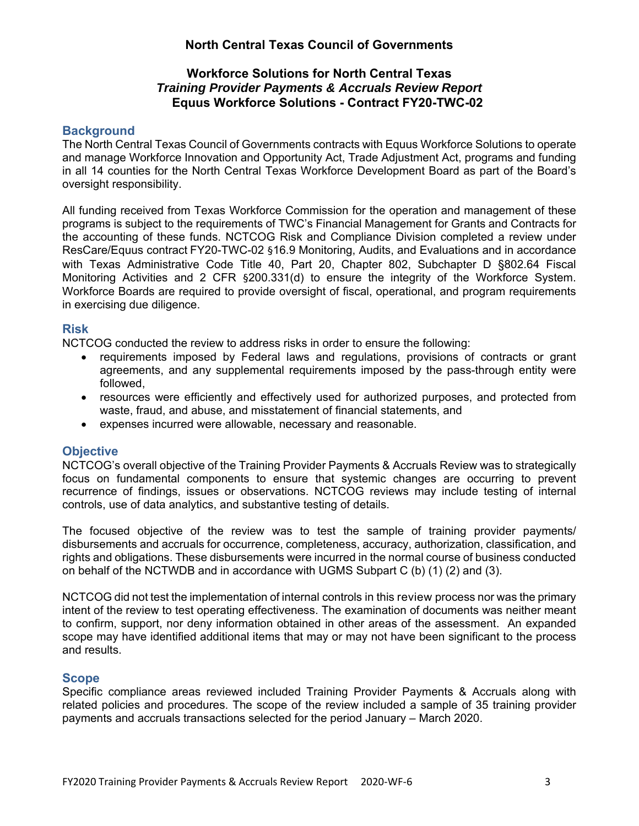# **North Central Texas Council of Governments**

## **Workforce Solutions for North Central Texas**  *Training Provider Payments & Accruals Review Report*  **Equus Workforce Solutions - Contract FY20-TWC-02**

## **Background**

The North Central Texas Council of Governments contracts with Equus Workforce Solutions to operate and manage Workforce Innovation and Opportunity Act, Trade Adjustment Act, programs and funding in all 14 counties for the North Central Texas Workforce Development Board as part of the Board's oversight responsibility.

All funding received from Texas Workforce Commission for the operation and management of these programs is subject to the requirements of TWC's Financial Management for Grants and Contracts for the accounting of these funds. NCTCOG Risk and Compliance Division completed a review under ResCare/Equus contract FY20-TWC-02 §16.9 Monitoring, Audits, and Evaluations and in accordance with Texas Administrative Code Title 40, Part 20, Chapter 802, Subchapter D §802.64 Fiscal Monitoring Activities and 2 CFR §200.331(d) to ensure the integrity of the Workforce System. Workforce Boards are required to provide oversight of fiscal, operational, and program requirements in exercising due diligence.

### **Risk**

NCTCOG conducted the review to address risks in order to ensure the following:

- requirements imposed by Federal laws and regulations, provisions of contracts or grant agreements, and any supplemental requirements imposed by the pass-through entity were followed,
- resources were efficiently and effectively used for authorized purposes, and protected from waste, fraud, and abuse, and misstatement of financial statements, and
- expenses incurred were allowable, necessary and reasonable.

### **Objective**

NCTCOG's overall objective of the Training Provider Payments & Accruals Review was to strategically focus on fundamental components to ensure that systemic changes are occurring to prevent recurrence of findings, issues or observations. NCTCOG reviews may include testing of internal controls, use of data analytics, and substantive testing of details.

The focused objective of the review was to test the sample of training provider payments/ disbursements and accruals for occurrence, completeness, accuracy, authorization, classification, and rights and obligations. These disbursements were incurred in the normal course of business conducted on behalf of the NCTWDB and in accordance with UGMS Subpart C (b) (1) (2) and (3).

NCTCOG did not test the implementation of internal controls in this review process nor was the primary intent of the review to test operating effectiveness. The examination of documents was neither meant to confirm, support, nor deny information obtained in other areas of the assessment. An expanded scope may have identified additional items that may or may not have been significant to the process and results.

### **Scope**

Specific compliance areas reviewed included Training Provider Payments & Accruals along with related policies and procedures. The scope of the review included a sample of 35 training provider payments and accruals transactions selected for the period January – March 2020.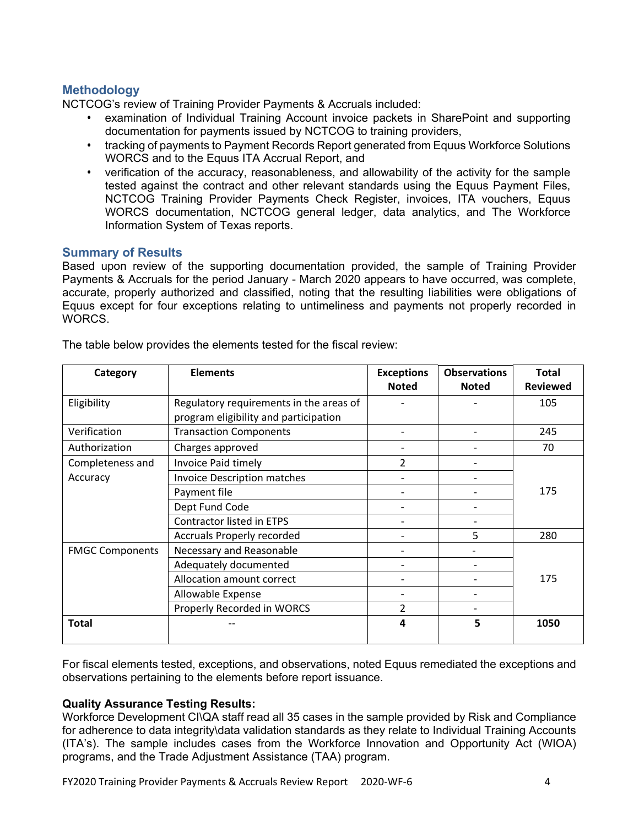# **Methodology**

NCTCOG's review of Training Provider Payments & Accruals included:

- examination of Individual Training Account invoice packets in SharePoint and supporting documentation for payments issued by NCTCOG to training providers,
- tracking of payments to Payment Records Report generated from Equus Workforce Solutions WORCS and to the Equus ITA Accrual Report, and
- verification of the accuracy, reasonableness, and allowability of the activity for the sample tested against the contract and other relevant standards using the Equus Payment Files, NCTCOG Training Provider Payments Check Register, invoices, ITA vouchers, Equus WORCS documentation, NCTCOG general ledger, data analytics, and The Workforce Information System of Texas reports.

# **Summary of Results**

Based upon review of the supporting documentation provided, the sample of Training Provider Payments & Accruals for the period January - March 2020 appears to have occurred, was complete, accurate, properly authorized and classified, noting that the resulting liabilities were obligations of Equus except for four exceptions relating to untimeliness and payments not properly recorded in WORCS.

| Category               | <b>Elements</b>                         | <b>Exceptions</b> | <b>Observations</b> | <b>Total</b>    |
|------------------------|-----------------------------------------|-------------------|---------------------|-----------------|
|                        |                                         | <b>Noted</b>      | <b>Noted</b>        | <b>Reviewed</b> |
| Eligibility            | Regulatory requirements in the areas of |                   |                     | 105             |
|                        | program eligibility and participation   |                   |                     |                 |
| Verification           | <b>Transaction Components</b>           |                   |                     | 245             |
| Authorization          | Charges approved                        | -                 |                     | 70              |
| Completeness and       | Invoice Paid timely                     | $\mathcal{P}$     |                     |                 |
| Accuracy               | <b>Invoice Description matches</b>      |                   |                     |                 |
|                        | Payment file                            |                   |                     | 175             |
|                        | Dept Fund Code                          |                   |                     |                 |
|                        | <b>Contractor listed in ETPS</b>        |                   |                     |                 |
|                        | Accruals Properly recorded              |                   | 5                   | 280             |
| <b>FMGC Components</b> | Necessary and Reasonable                |                   |                     |                 |
|                        | Adequately documented                   |                   |                     |                 |
|                        | Allocation amount correct               |                   |                     | 175             |
|                        | Allowable Expense                       |                   |                     |                 |
|                        | Properly Recorded in WORCS              | 2                 |                     |                 |
| <b>Total</b>           |                                         | 4                 | 5                   | 1050            |

The table below provides the elements tested for the fiscal review:

For fiscal elements tested, exceptions, and observations, noted Equus remediated the exceptions and observations pertaining to the elements before report issuance.

### **Quality Assurance Testing Results:**

Workforce Development CI\QA staff read all 35 cases in the sample provided by Risk and Compliance for adherence to data integrity\data validation standards as they relate to Individual Training Accounts (ITA's). The sample includes cases from the Workforce Innovation and Opportunity Act (WIOA) programs, and the Trade Adjustment Assistance (TAA) program.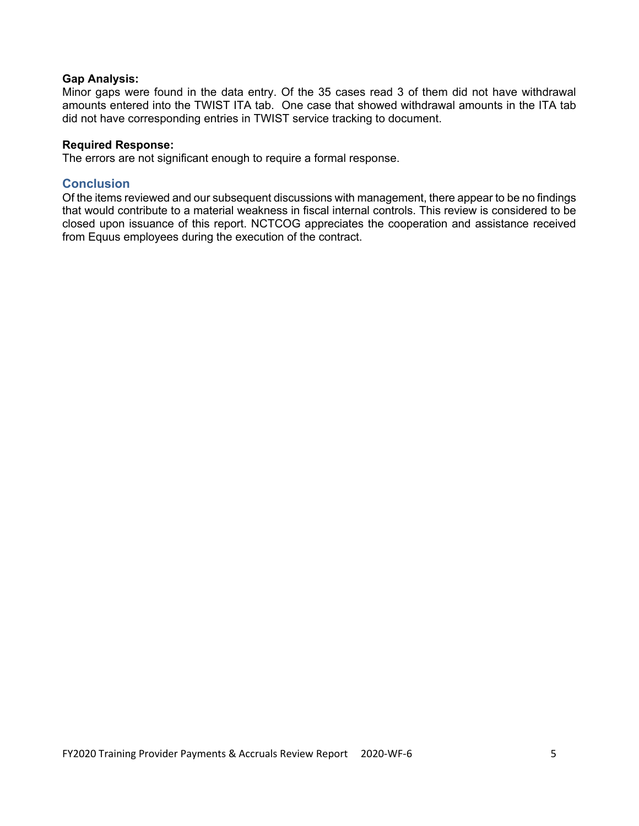#### **Gap Analysis:**

Minor gaps were found in the data entry. Of the 35 cases read 3 of them did not have withdrawal amounts entered into the TWIST ITA tab. One case that showed withdrawal amounts in the ITA tab did not have corresponding entries in TWIST service tracking to document.

#### **Required Response:**

The errors are not significant enough to require a formal response.

#### **Conclusion**

Of the items reviewed and our subsequent discussions with management, there appear to be no findings that would contribute to a material weakness in fiscal internal controls. This review is considered to be closed upon issuance of this report. NCTCOG appreciates the cooperation and assistance received from Equus employees during the execution of the contract.